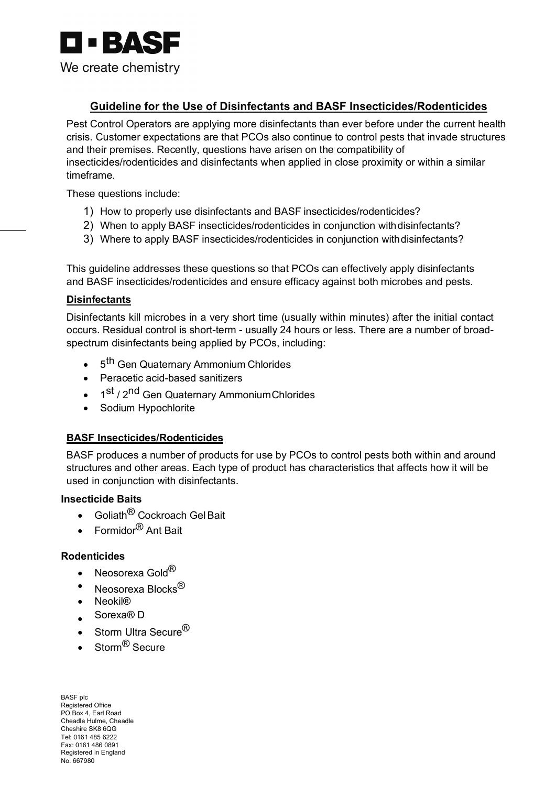

## **Guideline for the Use of Disinfectants and BASF Insecticides/Rodenticides**

Pest Control Operators are applying more disinfectants than ever before under the current health crisis. Customer expectations are that PCOs also continue to control pests that invade structures and their premises. Recently, questions have arisen on the compatibility of insecticides/rodenticides and disinfectants when applied in close proximity or within a similar timeframe.

These questions include:

- 1) How to properly use disinfectants and BASF insecticides/rodenticides?
- 2) When to apply BASF insecticides/rodenticides in conjunction withdisinfectants?
- 3) Where to apply BASF insecticides/rodenticides in conjunction withdisinfectants?

This guideline addresses these questions so that PCOs can effectively apply disinfectants and BASF insecticides/rodenticides and ensure efficacy against both microbes and pests.

#### **Disinfectants**

Disinfectants kill microbes in a very short time (usually within minutes) after the initial contact occurs. Residual control is short-term - usually 24 hours or less. There are a number of broadspectrum disinfectants being applied by PCOs, including:

- 5<sup>th</sup> Gen Quaternary Ammonium Chlorides
- Peracetic acid-based sanitizers
- 1st / 2<sup>nd</sup> Gen Quaternary Ammonium Chlorides
- Sodium Hypochlorite

#### **BASF Insecticides/Rodenticides**

BASF produces a number of products for use by PCOs to control pests both within and around structures and other areas. Each type of product has characteristics that affects how it will be used in conjunction with disinfectants.

### **Insecticide Baits**

- Goliath<sup>®</sup> Cockroach Gel Bait
- Formidor<sup>®</sup> Ant Bait

#### **Rodenticides**

- Neosorexa Gold $^{\circledR}$
- Neosorexa Blocks<sup>®</sup>
- Neokil®
- Sorexa® D
- Storm Ultra Secure  $^{\circledR}$
- Storm<sup>®</sup> Secure

BASF plc Registered Office PO Box 4, Earl Road Cheadle Hulme, Cheadle Cheshire SK8 6QG Tel: 0161 485 6222 Fax: 0161 486 0891 Registered in England No. 667980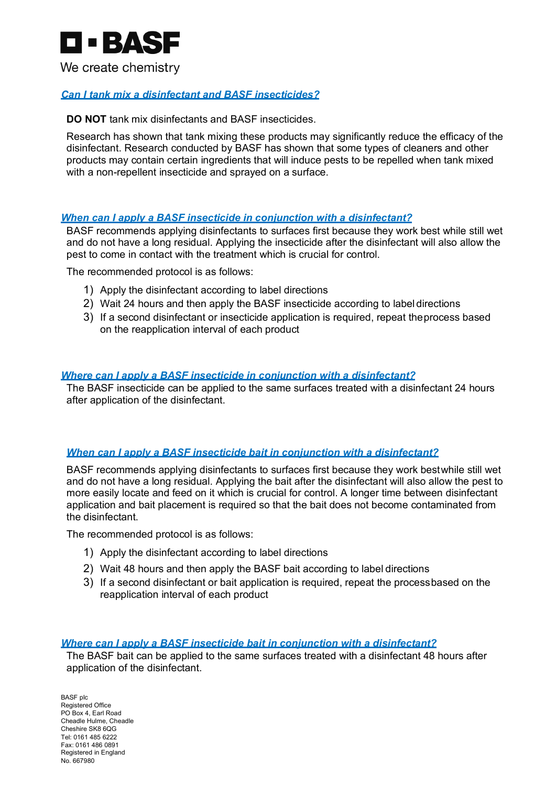

## *Can I tank mix a disinfectant and BASF insecticides?*

**DO NOT** tank mix disinfectants and BASF insecticides.

Research has shown that tank mixing these products may significantly reduce the efficacy of the disinfectant. Research conducted by BASF has shown that some types of cleaners and other products may contain certain ingredients that will induce pests to be repelled when tank mixed with a non-repellent insecticide and sprayed on a surface.

#### *When can I apply a BASF insecticide in conjunction with a disinfectant?*

BASF recommends applying disinfectants to surfaces first because they work best while still wet and do not have a long residual. Applying the insecticide after the disinfectant will also allow the pest to come in contact with the treatment which is crucial for control.

The recommended protocol is as follows:

- 1) Apply the disinfectant according to label directions
- 2) Wait 24 hours and then apply the BASF insecticide according to label directions
- 3) If a second disinfectant or insecticide application is required, repeat theprocess based on the reapplication interval of each product

#### *Where can I apply a BASF insecticide in conjunction with a disinfectant?*

The BASF insecticide can be applied to the same surfaces treated with a disinfectant 24 hours after application of the disinfectant.

#### *When can I apply a BASF insecticide bait in conjunction with a disinfectant?*

BASF recommends applying disinfectants to surfaces first because they work bestwhile still wet and do not have a long residual. Applying the bait after the disinfectant will also allow the pest to more easily locate and feed on it which is crucial for control. A longer time between disinfectant application and bait placement is required so that the bait does not become contaminated from the disinfectant.

The recommended protocol is as follows:

- 1) Apply the disinfectant according to label directions
- 2) Wait 48 hours and then apply the BASF bait according to label directions
- 3) If a second disinfectant or bait application is required, repeat the processbased on the reapplication interval of each product

#### *Where can I apply a BASF insecticide bait in conjunction with a disinfectant?*

The BASF bait can be applied to the same surfaces treated with a disinfectant 48 hours after application of the disinfectant.

BASF plc Registered Office PO Box 4, Earl Road Cheadle Hulme, Cheadle Cheshire SK8 6QG Tel: 0161 485 6222 Fax: 0161 486 0891 Registered in England No. 667980